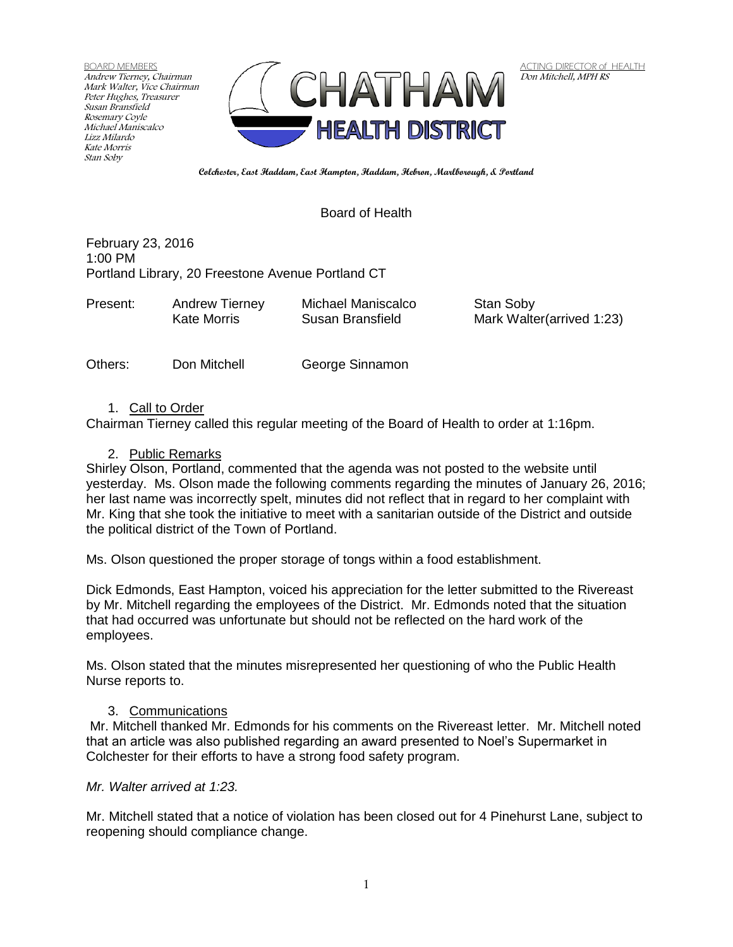BOARD MEMBERS Andrew Tierney, Chairman Mark Walter, Vice Chairman Peter Hughes, Treasurer Susan Bransfield Rosemary Coyle Michael Maniscalco Lizz Milardo Kate Morris Stan Soby



**ACTING DIRECTOR of HEALTH** Don Mitchell, MPH RS

**Colchester, East Haddam, East Hampton, Haddam, Hebron, Marlborough, & Portland**

## Board of Health

February 23, 2016 1:00 PM Portland Library, 20 Freestone Avenue Portland CT

| Present: | <b>Andrew Tierney</b> | Michael Maniscalco | Stan Soby                 |
|----------|-----------------------|--------------------|---------------------------|
|          | Kate Morris           | Susan Bransfield   | Mark Walter(arrived 1:23) |
|          |                       |                    |                           |

Others: Don Mitchell George Sinnamon

### 1. Call to Order

Chairman Tierney called this regular meeting of the Board of Health to order at 1:16pm.

### 2. Public Remarks

Shirley Olson, Portland, commented that the agenda was not posted to the website until yesterday. Ms. Olson made the following comments regarding the minutes of January 26, 2016; her last name was incorrectly spelt, minutes did not reflect that in regard to her complaint with Mr. King that she took the initiative to meet with a sanitarian outside of the District and outside the political district of the Town of Portland.

Ms. Olson questioned the proper storage of tongs within a food establishment.

Dick Edmonds, East Hampton, voiced his appreciation for the letter submitted to the Rivereast by Mr. Mitchell regarding the employees of the District. Mr. Edmonds noted that the situation that had occurred was unfortunate but should not be reflected on the hard work of the employees.

Ms. Olson stated that the minutes misrepresented her questioning of who the Public Health Nurse reports to.

### 3. Communications

Mr. Mitchell thanked Mr. Edmonds for his comments on the Rivereast letter. Mr. Mitchell noted that an article was also published regarding an award presented to Noel's Supermarket in Colchester for their efforts to have a strong food safety program.

### *Mr. Walter arrived at 1:23.*

Mr. Mitchell stated that a notice of violation has been closed out for 4 Pinehurst Lane, subject to reopening should compliance change.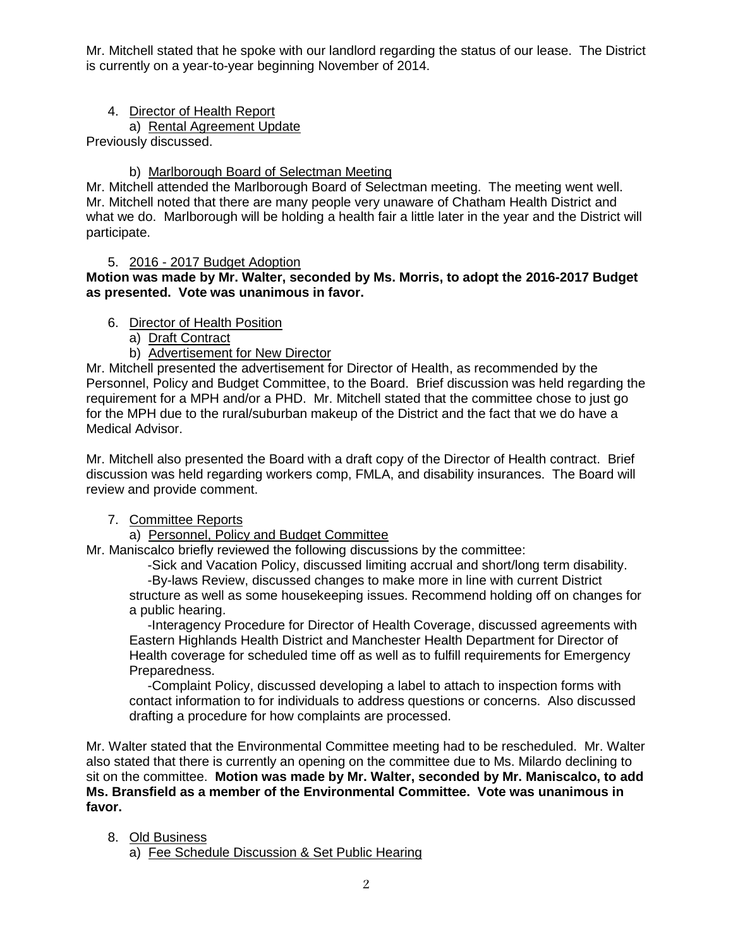Mr. Mitchell stated that he spoke with our landlord regarding the status of our lease. The District is currently on a year-to-year beginning November of 2014.

## 4. Director of Health Report

a) Rental Agreement Update

Previously discussed.

# b) Marlborough Board of Selectman Meeting

Mr. Mitchell attended the Marlborough Board of Selectman meeting. The meeting went well. Mr. Mitchell noted that there are many people very unaware of Chatham Health District and what we do. Marlborough will be holding a health fair a little later in the year and the District will participate.

## 5. 2016 - 2017 Budget Adoption

**Motion was made by Mr. Walter, seconded by Ms. Morris, to adopt the 2016-2017 Budget as presented. Vote was unanimous in favor.**

# 6. Director of Health Position

a) Draft Contract

b) Advertisement for New Director

Mr. Mitchell presented the advertisement for Director of Health, as recommended by the Personnel, Policy and Budget Committee, to the Board. Brief discussion was held regarding the requirement for a MPH and/or a PHD. Mr. Mitchell stated that the committee chose to just go for the MPH due to the rural/suburban makeup of the District and the fact that we do have a Medical Advisor.

Mr. Mitchell also presented the Board with a draft copy of the Director of Health contract. Brief discussion was held regarding workers comp, FMLA, and disability insurances. The Board will review and provide comment.

# 7. Committee Reports

# a) Personnel, Policy and Budget Committee

Mr. Maniscalco briefly reviewed the following discussions by the committee:

 -Sick and Vacation Policy, discussed limiting accrual and short/long term disability. -By-laws Review, discussed changes to make more in line with current District structure as well as some housekeeping issues. Recommend holding off on changes for

a public hearing.

 -Interagency Procedure for Director of Health Coverage, discussed agreements with Eastern Highlands Health District and Manchester Health Department for Director of Health coverage for scheduled time off as well as to fulfill requirements for Emergency Preparedness.

 -Complaint Policy, discussed developing a label to attach to inspection forms with contact information to for individuals to address questions or concerns. Also discussed drafting a procedure for how complaints are processed.

Mr. Walter stated that the Environmental Committee meeting had to be rescheduled. Mr. Walter also stated that there is currently an opening on the committee due to Ms. Milardo declining to sit on the committee. **Motion was made by Mr. Walter, seconded by Mr. Maniscalco, to add Ms. Bransfield as a member of the Environmental Committee. Vote was unanimous in favor.**

# 8. Old Business

a) Fee Schedule Discussion & Set Public Hearing